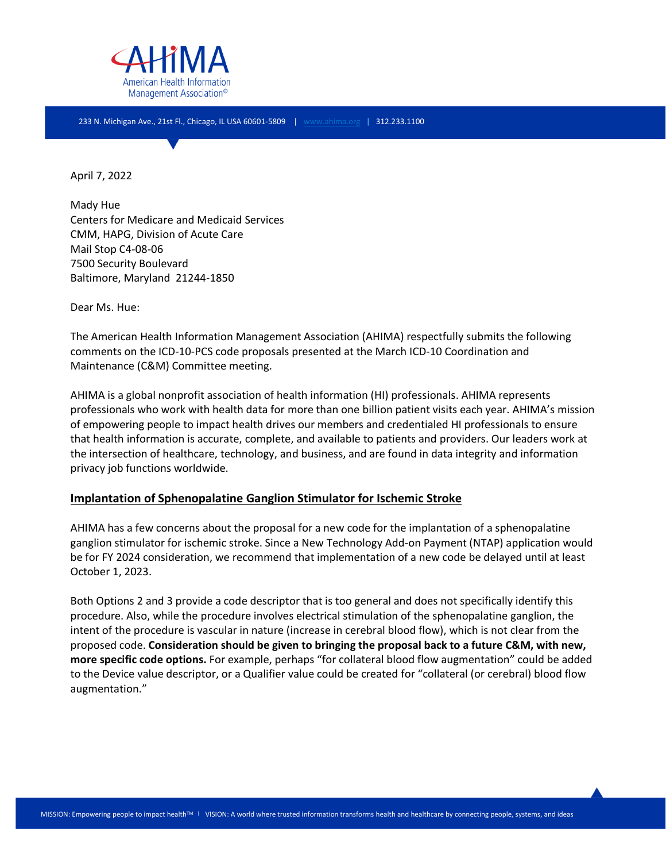

233 N. Michigan Ave., 21st Fl., Chicago, IL USA 60601-5809 | [www.ahima.org](http://www.ahima.org/) | 312.233.1100

April 7, 2022

Mady Hue Centers for Medicare and Medicaid Services CMM, HAPG, Division of Acute Care Mail Stop C4-08-06 7500 Security Boulevard Baltimore, Maryland 21244-1850

Dear Ms. Hue:

The American Health Information Management Association (AHIMA) respectfully submits the following comments on the ICD-10-PCS code proposals presented at the March ICD-10 Coordination and Maintenance (C&M) Committee meeting.

AHIMA is a global nonprofit association of health information (HI) professionals. AHIMA represents professionals who work with health data for more than one billion patient visits each year. AHIMA's mission of empowering people to impact health drives our members and credentialed HI professionals to ensure that health information is accurate, complete, and available to patients and providers. Our leaders work at the intersection of healthcare, technology, and business, and are found in data integrity and information privacy job functions worldwide.

### **Implantation of Sphenopalatine Ganglion Stimulator for Ischemic Stroke**

AHIMA has a few concerns about the proposal for a new code for the implantation of a sphenopalatine ganglion stimulator for ischemic stroke. Since a New Technology Add-on Payment (NTAP) application would be for FY 2024 consideration, we recommend that implementation of a new code be delayed until at least October 1, 2023.

Both Options 2 and 3 provide a code descriptor that is too general and does not specifically identify this procedure. Also, while the procedure involves electrical stimulation of the sphenopalatine ganglion, the intent of the procedure is vascular in nature (increase in cerebral blood flow), which is not clear from the proposed code. **Consideration should be given to bringing the proposal back to a future C&M, with new, more specific code options.** For example, perhaps "for collateral blood flow augmentation" could be added to the Device value descriptor, or a Qualifier value could be created for "collateral (or cerebral) blood flow augmentation."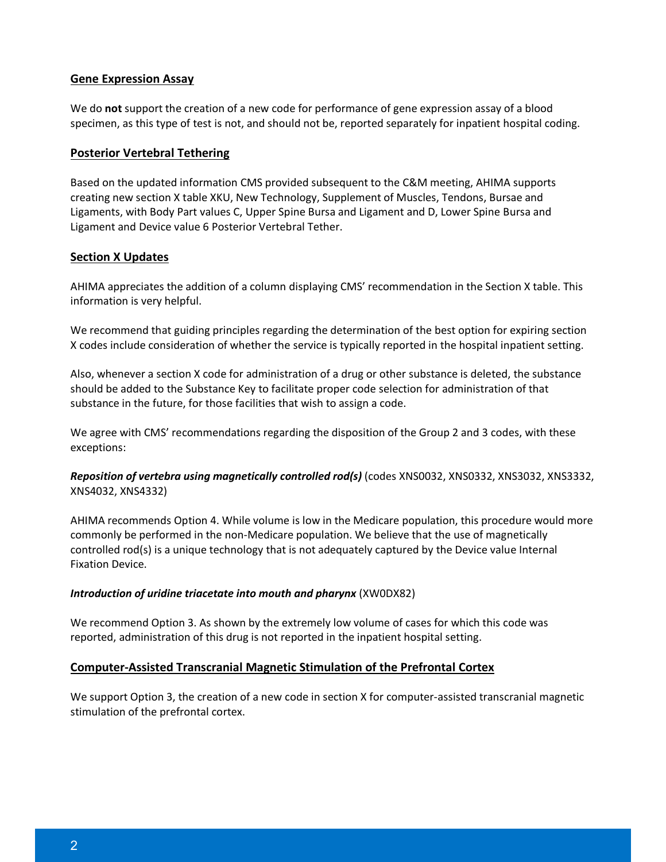### **Gene Expression Assay**

We do **not** support the creation of a new code for performance of gene expression assay of a blood specimen, as this type of test is not, and should not be, reported separately for inpatient hospital coding.

### **Posterior Vertebral Tethering**

Based on the updated information CMS provided subsequent to the C&M meeting, AHIMA supports creating new section X table XKU, New Technology, Supplement of Muscles, Tendons, Bursae and Ligaments, with Body Part values C, Upper Spine Bursa and Ligament and D, Lower Spine Bursa and Ligament and Device value 6 Posterior Vertebral Tether.

## **Section X Updates**

AHIMA appreciates the addition of a column displaying CMS' recommendation in the Section X table. This information is very helpful.

We recommend that guiding principles regarding the determination of the best option for expiring section X codes include consideration of whether the service is typically reported in the hospital inpatient setting.

Also, whenever a section X code for administration of a drug or other substance is deleted, the substance should be added to the Substance Key to facilitate proper code selection for administration of that substance in the future, for those facilities that wish to assign a code.

We agree with CMS' recommendations regarding the disposition of the Group 2 and 3 codes, with these exceptions:

*Reposition of vertebra using magnetically controlled rod(s)* (codes XNS0032, XNS0332, XNS3032, XNS3332, XNS4032, XNS4332)

AHIMA recommends Option 4. While volume is low in the Medicare population, this procedure would more commonly be performed in the non-Medicare population. We believe that the use of magnetically controlled rod(s) is a unique technology that is not adequately captured by the Device value Internal Fixation Device.

### *Introduction of uridine triacetate into mouth and pharynx* (XW0DX82)

We recommend Option 3. As shown by the extremely low volume of cases for which this code was reported, administration of this drug is not reported in the inpatient hospital setting.

# **Computer-Assisted Transcranial Magnetic Stimulation of the Prefrontal Cortex**

We support Option 3, the creation of a new code in section X for computer-assisted transcranial magnetic stimulation of the prefrontal cortex.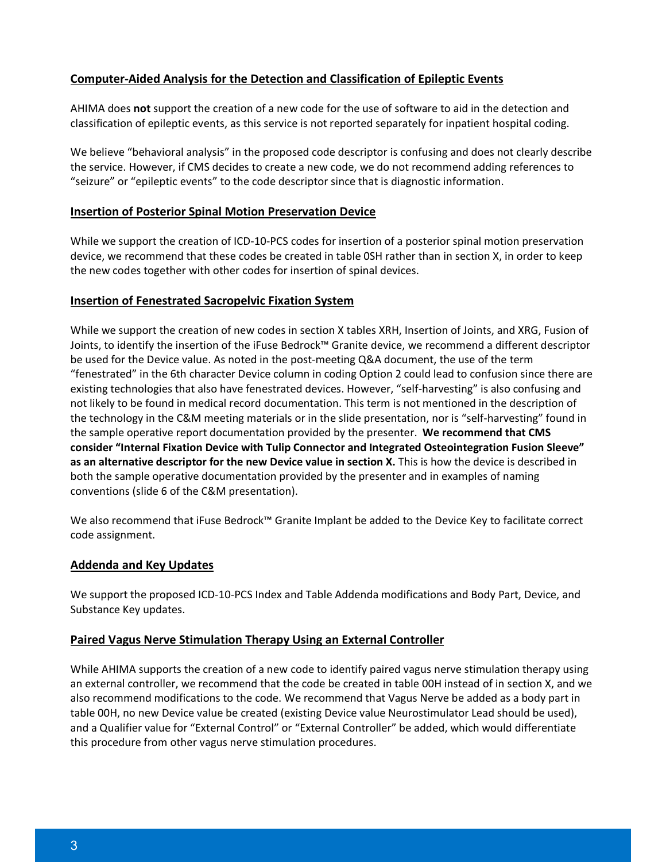## **Computer-Aided Analysis for the Detection and Classification of Epileptic Events**

AHIMA does **not** support the creation of a new code for the use of software to aid in the detection and classification of epileptic events, as this service is not reported separately for inpatient hospital coding.

We believe "behavioral analysis" in the proposed code descriptor is confusing and does not clearly describe the service. However, if CMS decides to create a new code, we do not recommend adding references to "seizure" or "epileptic events" to the code descriptor since that is diagnostic information.

### **Insertion of Posterior Spinal Motion Preservation Device**

While we support the creation of ICD-10-PCS codes for insertion of a posterior spinal motion preservation device, we recommend that these codes be created in table 0SH rather than in section X, in order to keep the new codes together with other codes for insertion of spinal devices.

## **Insertion of Fenestrated Sacropelvic Fixation System**

While we support the creation of new codes in section X tables XRH, Insertion of Joints, and XRG, Fusion of Joints, to identify the insertion of the iFuse Bedrock™ Granite device, we recommend a different descriptor be used for the Device value. As noted in the post-meeting Q&A document, the use of the term "fenestrated" in the 6th character Device column in coding Option 2 could lead to confusion since there are existing technologies that also have fenestrated devices. However, "self-harvesting" is also confusing and not likely to be found in medical record documentation. This term is not mentioned in the description of the technology in the C&M meeting materials or in the slide presentation, nor is "self-harvesting" found in the sample operative report documentation provided by the presenter. **We recommend that CMS consider "Internal Fixation Device with Tulip Connector and Integrated Osteointegration Fusion Sleeve" as an alternative descriptor for the new Device value in section X.** This is how the device is described in both the sample operative documentation provided by the presenter and in examples of naming conventions (slide 6 of the C&M presentation).

We also recommend that iFuse Bedrock™ Granite Implant be added to the Device Key to facilitate correct code assignment.

### **Addenda and Key Updates**

We support the proposed ICD-10-PCS Index and Table Addenda modifications and Body Part, Device, and Substance Key updates.

### **Paired Vagus Nerve Stimulation Therapy Using an External Controller**

While AHIMA supports the creation of a new code to identify paired vagus nerve stimulation therapy using an external controller, we recommend that the code be created in table 00H instead of in section X, and we also recommend modifications to the code. We recommend that Vagus Nerve be added as a body part in table 00H, no new Device value be created (existing Device value Neurostimulator Lead should be used), and a Qualifier value for "External Control" or "External Controller" be added, which would differentiate this procedure from other vagus nerve stimulation procedures.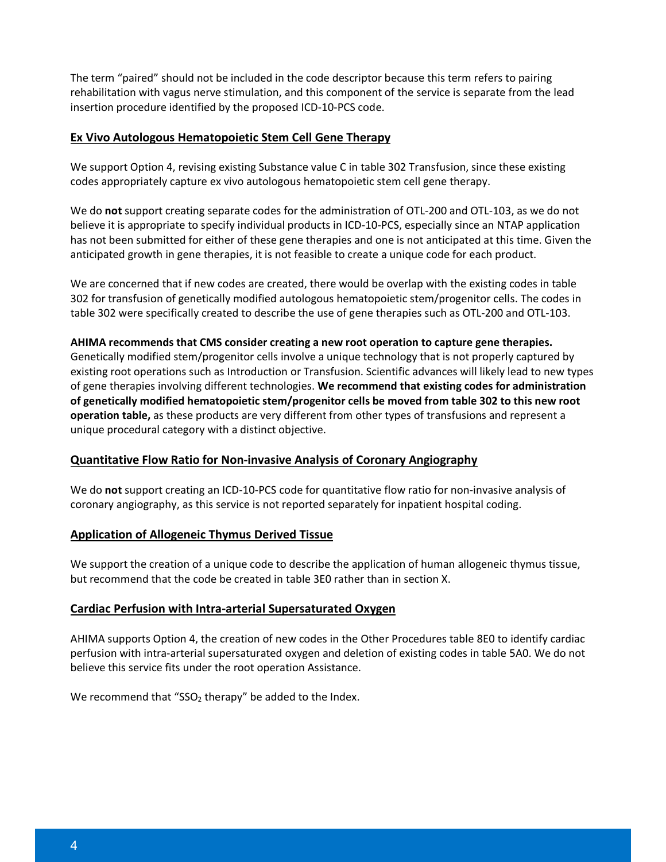The term "paired" should not be included in the code descriptor because this term refers to pairing rehabilitation with vagus nerve stimulation, and this component of the service is separate from the lead insertion procedure identified by the proposed ICD-10-PCS code.

## **Ex Vivo Autologous Hematopoietic Stem Cell Gene Therapy**

We support Option 4, revising existing Substance value C in table 302 Transfusion, since these existing codes appropriately capture ex vivo autologous hematopoietic stem cell gene therapy.

We do **not** support creating separate codes for the administration of OTL-200 and OTL-103, as we do not believe it is appropriate to specify individual products in ICD-10-PCS, especially since an NTAP application has not been submitted for either of these gene therapies and one is not anticipated at this time. Given the anticipated growth in gene therapies, it is not feasible to create a unique code for each product.

We are concerned that if new codes are created, there would be overlap with the existing codes in table 302 for transfusion of genetically modified autologous hematopoietic stem/progenitor cells. The codes in table 302 were specifically created to describe the use of gene therapies such as OTL-200 and OTL-103.

**AHIMA recommends that CMS consider creating a new root operation to capture gene therapies.** Genetically modified stem/progenitor cells involve a unique technology that is not properly captured by existing root operations such as Introduction or Transfusion. Scientific advances will likely lead to new types of gene therapies involving different technologies. **We recommend that existing codes for administration of genetically modified hematopoietic stem/progenitor cells be moved from table 302 to this new root operation table,** as these products are very different from other types of transfusions and represent a unique procedural category with a distinct objective.

# **Quantitative Flow Ratio for Non-invasive Analysis of Coronary Angiography**

We do **not** support creating an ICD-10-PCS code for quantitative flow ratio for non-invasive analysis of coronary angiography, as this service is not reported separately for inpatient hospital coding.

### **Application of Allogeneic Thymus Derived Tissue**

We support the creation of a unique code to describe the application of human allogeneic thymus tissue, but recommend that the code be created in table 3E0 rather than in section X.

### **Cardiac Perfusion with Intra-arterial Supersaturated Oxygen**

AHIMA supports Option 4, the creation of new codes in the Other Procedures table 8E0 to identify cardiac perfusion with intra-arterial supersaturated oxygen and deletion of existing codes in table 5A0. We do not believe this service fits under the root operation Assistance.

We recommend that "SSO<sub>2</sub> therapy" be added to the Index.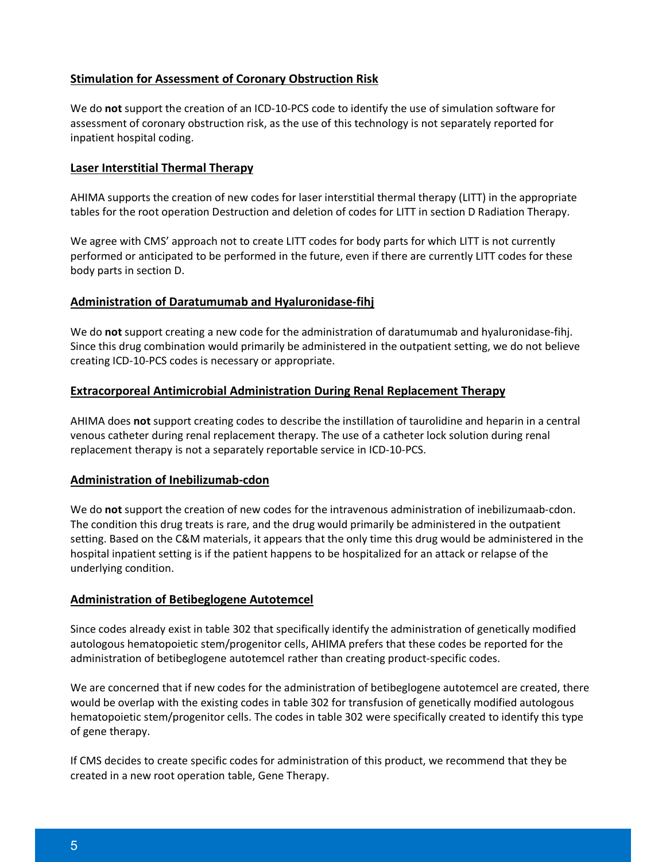# **Stimulation for Assessment of Coronary Obstruction Risk**

We do **not** support the creation of an ICD-10-PCS code to identify the use of simulation software for assessment of coronary obstruction risk, as the use of this technology is not separately reported for inpatient hospital coding.

### **Laser Interstitial Thermal Therapy**

AHIMA supports the creation of new codes for laser interstitial thermal therapy (LITT) in the appropriate tables for the root operation Destruction and deletion of codes for LITT in section D Radiation Therapy.

We agree with CMS' approach not to create LITT codes for body parts for which LITT is not currently performed or anticipated to be performed in the future, even if there are currently LITT codes for these body parts in section D.

## **Administration of Daratumumab and Hyaluronidase-fihj**

We do **not** support creating a new code for the administration of daratumumab and hyaluronidase-fihj. Since this drug combination would primarily be administered in the outpatient setting, we do not believe creating ICD-10-PCS codes is necessary or appropriate.

## **Extracorporeal Antimicrobial Administration During Renal Replacement Therapy**

AHIMA does **not** support creating codes to describe the instillation of taurolidine and heparin in a central venous catheter during renal replacement therapy. The use of a catheter lock solution during renal replacement therapy is not a separately reportable service in ICD-10-PCS.

### **Administration of Inebilizumab-cdon**

We do **not** support the creation of new codes for the intravenous administration of inebilizumaab-cdon. The condition this drug treats is rare, and the drug would primarily be administered in the outpatient setting. Based on the C&M materials, it appears that the only time this drug would be administered in the hospital inpatient setting is if the patient happens to be hospitalized for an attack or relapse of the underlying condition.

### **Administration of Betibeglogene Autotemcel**

Since codes already exist in table 302 that specifically identify the administration of genetically modified autologous hematopoietic stem/progenitor cells, AHIMA prefers that these codes be reported for the administration of betibeglogene autotemcel rather than creating product-specific codes.

We are concerned that if new codes for the administration of betibeglogene autotemcel are created, there would be overlap with the existing codes in table 302 for transfusion of genetically modified autologous hematopoietic stem/progenitor cells. The codes in table 302 were specifically created to identify this type of gene therapy.

If CMS decides to create specific codes for administration of this product, we recommend that they be created in a new root operation table, Gene Therapy.